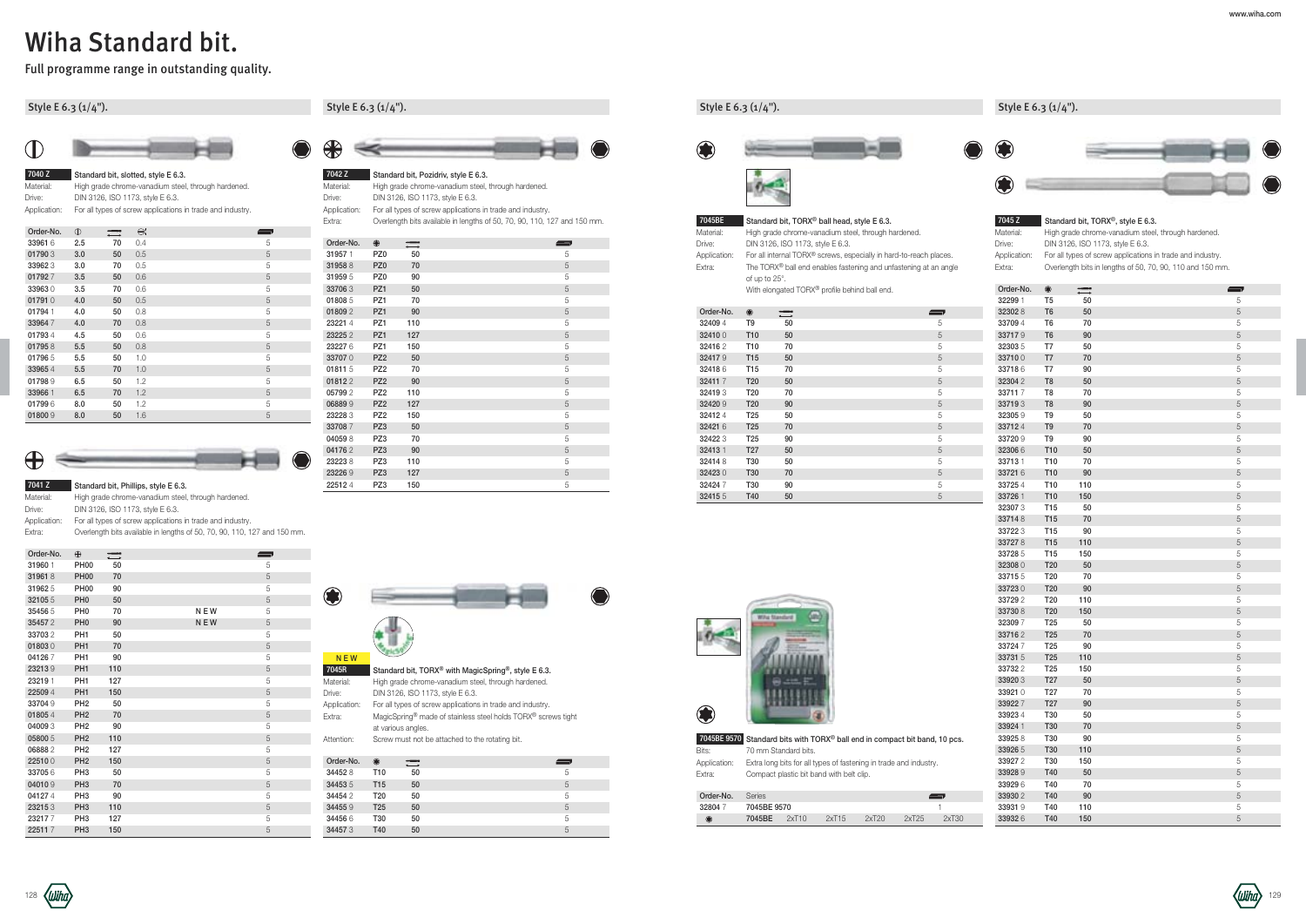### Style E 6.3 (1/4").

| 7040 Z       | Standard bit, slotted, style E 6.3.                        |
|--------------|------------------------------------------------------------|
| Material:    | High grade chrome-vanadium steel, through hardened.        |
| Drive:       | DIN 3126, ISO 1173, style E 6.3.                           |
| Application: | For all types of screw applications in trade and industry. |

| Order-No. | $\mathbb{O}$ |    | ⊖;  | $\overline{\phantom{a}}$ |
|-----------|--------------|----|-----|--------------------------|
| 33961 6   | 2.5          | 70 | 0.4 | 5                        |
| 017903    | 3.0          | 50 | 0.5 | 5                        |
| 339623    | 3.0          | 70 | 0.5 | 5                        |
| 017927    | 3.5          | 50 | 0.6 | 5                        |
| 339630    | 3.5          | 70 | 0.6 | 5                        |
| 017910    | 4.0          | 50 | 0.5 | 5                        |
| 01794 1   | 4.0          | 50 | 0.8 | 5                        |
| 339647    | 4.0          | 70 | 0.8 | 5                        |
| 017934    | 4.5          | 50 | 0.6 | 5                        |
| 017958    | 5.5          | 50 | 0.8 | 5                        |
| 017965    | 5.5          | 50 | 1.0 | 5                        |
| 339654    | 5.5          | 70 | 1.0 | 5                        |
| 017989    | 6.5          | 50 | 1.2 | 5                        |
| 33966 1   | 6.5          | 70 | 1.2 | 5                        |
| 017996    | 8.0          | 50 | 1.2 | 5                        |
| 018009    | 8.0          | 50 | 1.6 | 5                        |



|               | 7041 Z    | Standard bit, Phillips, style E 6.3.                |
|---------------|-----------|-----------------------------------------------------|
|               | Material: | High grade chrome-vanadium steel, through hardened. |
| $\sim$ $\sim$ |           | <b>DILLOIDO 100 1170 11 FOO</b>                     |

Drive: DIN 3126, ISO 1173, style E 6.3.

Application: For all types of screw applications in trade and industry. Extra: Overlength bits available in lengths of 50, 70, 90, 110, 127 and 150 mm. Material: High grade chrome-vanadium steel, through hardened.<br>
Drive: DIN 3126. ISO 1173. style E 6.3. DIN 3126, ISO 1173, style E 6.3. Application: For all types of screw applications in trade and industry. Extra: Overlength bits available in lengths of 50, 70, 90, 110, 127 and 150 mm.

7045R Standard bit, TORX<sup>®</sup> with MagicSpring<sup>®</sup>, style E 6.3. Material: High grade chrome-vanadium steel, through hardened. Drive: DIN 3126, ISO 1173, style E 6.3.

### Style E 6.3 (1/4").



| Order-No. | ⊕               |     | $\equiv$ |
|-----------|-----------------|-----|----------|
| 319571    | PZ <sub>0</sub> | 50  | 5        |
| 319588    | PZ <sub>0</sub> | 70  | 5        |
| 319595    | PZ <sub>0</sub> | 90  | 5        |
| 337063    | PZ1             | 50  | 5        |
| 018085    | PZ1             | 70  | 5        |
| 018092    | PZ1             | 90  | 5        |
| 232214    | PZ1             | 110 | 5        |
| 232252    | PZ1             | 127 | 5        |
| 232276    | PZ1             | 150 | 5        |
| 337070    | PZ <sub>2</sub> | 50  | 5        |
| 018115    | PZ <sub>2</sub> | 70  | 5        |
| 018122    | PZ <sub>2</sub> | 90  | 5        |
| 057992    | PZ <sub>2</sub> | 110 | 5        |
| 068899    | PZ <sub>2</sub> | 127 | 5        |
| 232283    | PZ <sub>2</sub> | 150 | 5        |
| 337087    | PZ3             | 50  | 5        |
| 040598    | PZ3             | 70  | 5        |
| 041762    | PZ3             | 90  | 5        |
| 232238    | PZ3             | 110 | 5        |
| 232269    | PZ3             | 127 | 5        |
| 225124    | PZ3             | 150 | 5        |

Application: For all types of screw applications in trade and industry. Extra: MagicSpring® made of stainless steel holds TORX® screws tight at various angles.

Attention: Screw must not be attached to the rotating bit.

| Order-No. | ۰               | $\equiv$ | $\qquad \qquad$ |
|-----------|-----------------|----------|-----------------|
| 344528    | T <sub>10</sub> | 50       | 5               |
| 344535    | T <sub>15</sub> | 50       | 5               |
| 344542    | T <sub>20</sub> | 50       | 5               |
| 344559    | T <sub>25</sub> | 50       | 5               |
| 344566    | T30             | 50       | 5               |
| 344573    | T40             | 50       | 5               |

# Wiha Standard bit.

Full programme range in outstanding quality.

### Style E 6.3 (1/4").



| Order-No. | $\bigoplus$     | $\overline{\phantom{m}}$ |            | $\longrightarrow$ |
|-----------|-----------------|--------------------------|------------|-------------------|
| 31960 1   | <b>PH00</b>     | 50                       |            | 5                 |
| 319618    | <b>PH00</b>     | 70                       |            | 5                 |
| 319625    | <b>PH00</b>     | 90                       |            | 5                 |
| 321055    | PH <sub>0</sub> | 50                       |            | 5                 |
| 354565    | PH <sub>0</sub> | 70                       | <b>NEW</b> | 5                 |
| 354572    | PH <sub>0</sub> | 90                       | <b>NEW</b> | 5                 |
| 337032    | PH <sub>1</sub> | 50                       |            | 5                 |
| 018030    | PH <sub>1</sub> | 70                       |            | 5                 |
| 041267    | PH <sub>1</sub> | 90                       |            | 5                 |
| 232139    | PH <sub>1</sub> | 110                      |            | 5                 |
| 23219 1   | PH <sub>1</sub> | 127                      |            | 5                 |
| 22509 4   | PH <sub>1</sub> | 150                      |            | 5                 |
| 33704 9   | PH <sub>2</sub> | 50                       |            | 5                 |
| 018054    | PH <sub>2</sub> | 70                       |            | 5                 |
| 040093    | PH <sub>2</sub> | 90                       |            | 5                 |
| 05800 5   | PH <sub>2</sub> | 110                      |            | 5                 |
| 068882    | PH <sub>2</sub> | 127                      |            | 5                 |
| 225100    | PH <sub>2</sub> | 150                      |            | 5                 |
| 337056    | PH <sub>3</sub> | 50                       |            | 5                 |
| 040109    | PH <sub>3</sub> | 70                       |            | 5                 |
| 041274    | PH <sub>3</sub> | 90                       |            | 5                 |
| 232153    | PH <sub>3</sub> | 110                      |            | 5                 |
| 232177    | PH <sub>3</sub> | 127                      |            | 5                 |
| 225117    | PH <sub>3</sub> | 150                      |            | 5                 |

| Material:    | High grade chrome-vanadium steel, through hardened.                          |
|--------------|------------------------------------------------------------------------------|
| Drive:       | DIN 3126, ISO 1173, style E 6.3.                                             |
| Application: | For all internal TORX® screws, especially in hard-to-reach places.           |
| Extra:       | The TORX <sup>®</sup> ball end enables fastening and unfastening at an angle |
|              | of up to $25^\circ$ .                                                        |

With elongated TORX<sup>®</sup> profile behind ball end.

| Order-No. | ۰               |    |   |
|-----------|-----------------|----|---|
| 324094    | T9              | 50 | 5 |
| 324100    | T <sub>10</sub> | 50 | 5 |
| 324162    | T <sub>10</sub> | 70 | 5 |
| 324179    | T <sub>15</sub> | 50 | 5 |
| 324186    | T15             | 70 | 5 |
| 324117    | T <sub>20</sub> | 50 | 5 |
| 324193    | T <sub>20</sub> | 70 | 5 |
| 32420 9   | T <sub>20</sub> | 90 | 5 |
| 324124    | T <sub>25</sub> | 50 | 5 |
| 32421 6   | T <sub>25</sub> | 70 | 5 |
| 32422 3   | T <sub>25</sub> | 90 | 5 |
| 324131    | T <sub>27</sub> | 50 | 5 |
| 324148    | T30             | 50 | 5 |
| 324230    | T <sub>30</sub> | 70 | 5 |
| 324247    | T30             | 90 | 5 |
| 324155    | T40             | 50 | 5 |



7045BE 9570 Standard bits with TORX® ball end in compact bit band, 10 pcs. Bits: 70 mm Standard bits. Application: Extra long bits for all types of fastening in trade and industry. Extra: Compact plastic bit band with belt clip.

### Style E 6.3 (1/4").





#### 7045 Z Standard bit, TORX<sup>®</sup>, style E 6.3.

Material: High grade chrome-vanadium steel, through hardened.

Drive: DIN 3126, ISO 1173, style E 6.3. Application: For all types of screw applications in trade and industry. Extra: Overlength bits in lengths of 50, 70, 90, 110 and 150 mm.

| Order-No. | <b>Series</b> |       |       |       |       |          |
|-----------|---------------|-------|-------|-------|-------|----------|
| 328047    | 7045BE 9570   |       |       |       |       |          |
|           | 7045BE        | 2xT10 | 2xT15 | 2xT20 | 2xT25 | $2x$ T30 |

| Order-No. | ۰               | =   | $\blacksquare$ |
|-----------|-----------------|-----|----------------|
| 32299 1   | T5              | 50  | 5              |
| 323028    | T <sub>6</sub>  | 50  | 5              |
| 33709 4   | T <sub>6</sub>  | 70  | 5              |
| 337179    | T <sub>6</sub>  | 90  | 5              |
| 323035    | T7              | 50  | 5              |
| 337100    | T7              | 70  | 5              |
| 337186    | T7              | 90  | 5              |
| 323042    | T8              | 50  | 5              |
| 337117    | T8              | 70  | 5              |
| 337193    | T <sub>8</sub>  | 90  | 5              |
| 323059    | T9              | 50  | 5              |
| 337124    | T9              | 70  | 5              |
| 337209    | T9              | 90  | 5              |
| 323066    | T10             | 50  | 5              |
| 337131    | T <sub>10</sub> | 70  | 5              |
| 33721 6   | T10             | 90  | 5              |
| 337254    | T10             | 110 | 5              |
| 33726 1   | T10             | 150 | 5              |
| 323073    | T15             | 50  | 5              |
| 337148    | T15             | 70  | 5              |
| 337223    | T15             | 90  | 5              |
| 337278    | T15             | 110 | 5              |
| 337285    | T15             | 150 | 5              |
| 323080    | T <sub>20</sub> | 50  | 5              |
| 337155    | T <sub>20</sub> | 70  | 5              |
| 337230    | T <sub>20</sub> | 90  | 5              |
| 337292    | T <sub>20</sub> | 110 | 5              |
| 337308    | T <sub>20</sub> | 150 | 5              |
| 323097    | T <sub>25</sub> | 50  | 5              |
| 337162    | T <sub>25</sub> | 70  | 5              |
| 337247    | T <sub>25</sub> | 90  | 5              |
| 33731 5   | T <sub>25</sub> | 110 | 5              |
| 337322    | T <sub>25</sub> | 150 | 5              |
| 33920 3   | T27             | 50  | 5              |
| 339210    | T <sub>27</sub> | 70  | 5              |
| 339227    | T <sub>27</sub> | 90  | 5              |
| 339234    | T30             | 50  | 5              |
| 33924 1   | T30             | 70  | 5              |
| 339258    | T30             | 90  | 5              |
| 33926 5   | T30             | 110 | 5              |
| 339272    | T30             | 150 | 5              |
| 339289    | T40             | 50  | 5              |
| 339296    | T40             | 70  | 5              |
| 339302    | T40             | 90  | 5              |
| 339319    | T40             | 110 | 5              |
| 339326    | T40             | 150 | 5              |